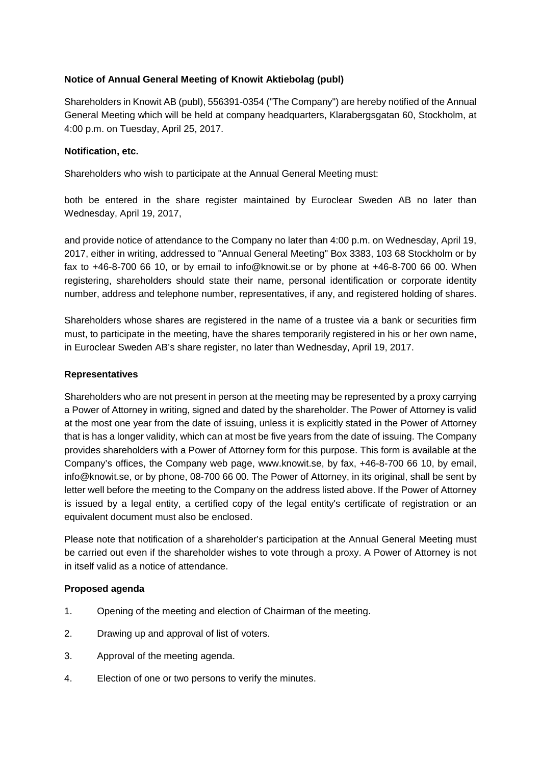# **Notice of Annual General Meeting of Knowit Aktiebolag (publ)**

Shareholders in Knowit AB (publ), 556391-0354 ("The Company") are hereby notified of the Annual General Meeting which will be held at company headquarters, Klarabergsgatan 60, Stockholm, at 4:00 p.m. on Tuesday, April 25, 2017.

#### **Notification, etc.**

Shareholders who wish to participate at the Annual General Meeting must:

both be entered in the share register maintained by Euroclear Sweden AB no later than Wednesday, April 19, 2017,

and provide notice of attendance to the Company no later than 4:00 p.m. on Wednesday, April 19, 2017, either in writing, addressed to "Annual General Meeting" Box 3383, 103 68 Stockholm or by fax to +46-8-700 66 10, or by email to info@knowit.se or by phone at +46-8-700 66 00. When registering, shareholders should state their name, personal identification or corporate identity number, address and telephone number, representatives, if any, and registered holding of shares.

Shareholders whose shares are registered in the name of a trustee via a bank or securities firm must, to participate in the meeting, have the shares temporarily registered in his or her own name, in Euroclear Sweden AB's share register, no later than Wednesday, April 19, 2017.

#### **Representatives**

Shareholders who are not present in person at the meeting may be represented by a proxy carrying a Power of Attorney in writing, signed and dated by the shareholder. The Power of Attorney is valid at the most one year from the date of issuing, unless it is explicitly stated in the Power of Attorney that is has a longer validity, which can at most be five years from the date of issuing. The Company provides shareholders with a Power of Attorney form for this purpose. This form is available at the Company's offices, the Company web page, www.knowit.se, by fax, +46-8-700 66 10, by email, info@knowit.se, or by phone, 08-700 66 00. The Power of Attorney, in its original, shall be sent by letter well before the meeting to the Company on the address listed above. If the Power of Attorney is issued by a legal entity, a certified copy of the legal entity's certificate of registration or an equivalent document must also be enclosed.

Please note that notification of a shareholder's participation at the Annual General Meeting must be carried out even if the shareholder wishes to vote through a proxy. A Power of Attorney is not in itself valid as a notice of attendance.

# **Proposed agenda**

- 1. Opening of the meeting and election of Chairman of the meeting.
- 2. Drawing up and approval of list of voters.
- 3. Approval of the meeting agenda.
- 4. Election of one or two persons to verify the minutes.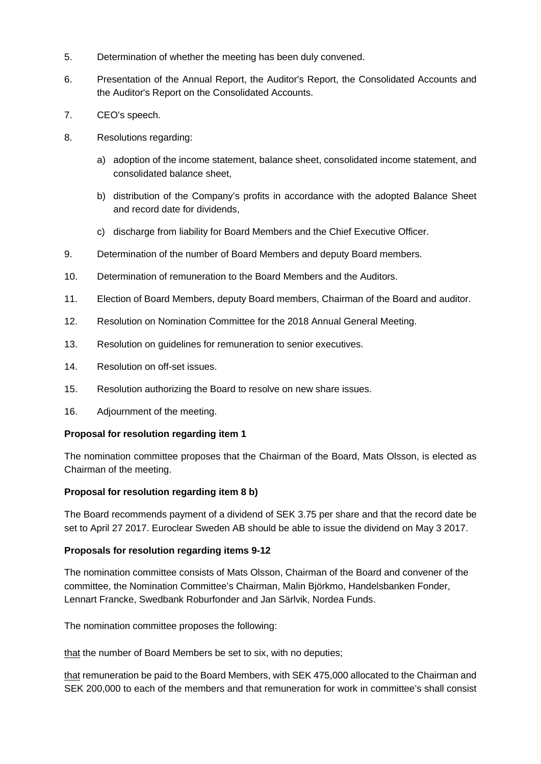- 5. Determination of whether the meeting has been duly convened.
- 6. Presentation of the Annual Report, the Auditor's Report, the Consolidated Accounts and the Auditor's Report on the Consolidated Accounts.
- 7. CEO's speech.
- 8. Resolutions regarding:
	- a) adoption of the income statement, balance sheet, consolidated income statement, and consolidated balance sheet,
	- b) distribution of the Company's profits in accordance with the adopted Balance Sheet and record date for dividends,
	- c) discharge from liability for Board Members and the Chief Executive Officer.
- 9. Determination of the number of Board Members and deputy Board members.
- 10. Determination of remuneration to the Board Members and the Auditors.
- 11. Election of Board Members, deputy Board members, Chairman of the Board and auditor.
- 12. Resolution on Nomination Committee for the 2018 Annual General Meeting.
- 13. Resolution on guidelines for remuneration to senior executives.
- 14. Resolution on off-set issues.
- 15. Resolution authorizing the Board to resolve on new share issues.
- 16. Adjournment of the meeting.

# **Proposal for resolution regarding item 1**

The nomination committee proposes that the Chairman of the Board, Mats Olsson, is elected as Chairman of the meeting.

# **Proposal for resolution regarding item 8 b)**

The Board recommends payment of a dividend of SEK 3.75 per share and that the record date be set to April 27 2017. Euroclear Sweden AB should be able to issue the dividend on May 3 2017.

# **Proposals for resolution regarding items 9-12**

The nomination committee consists of Mats Olsson, Chairman of the Board and convener of the committee, the Nomination Committee's Chairman, Malin Björkmo, Handelsbanken Fonder, Lennart Francke, Swedbank Roburfonder and Jan Särlvik, Nordea Funds.

The nomination committee proposes the following:

that the number of Board Members be set to six, with no deputies;

that remuneration be paid to the Board Members, with SEK 475,000 allocated to the Chairman and SEK 200,000 to each of the members and that remuneration for work in committee's shall consist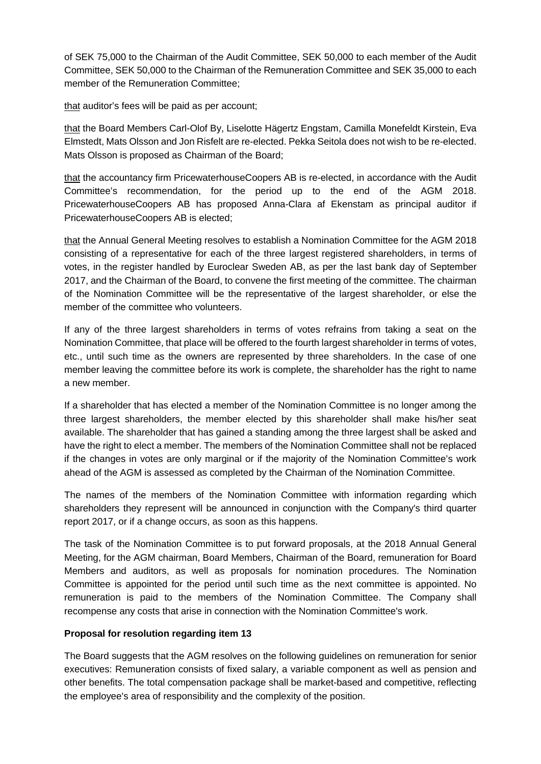of SEK 75,000 to the Chairman of the Audit Committee, SEK 50,000 to each member of the Audit Committee, SEK 50,000 to the Chairman of the Remuneration Committee and SEK 35,000 to each member of the Remuneration Committee;

that auditor's fees will be paid as per account;

that the Board Members Carl-Olof By, Liselotte Hägertz Engstam, Camilla Monefeldt Kirstein, Eva Elmstedt, Mats Olsson and Jon Risfelt are re-elected. Pekka Seitola does not wish to be re-elected. Mats Olsson is proposed as Chairman of the Board;

that the accountancy firm PricewaterhouseCoopers AB is re-elected, in accordance with the Audit Committee's recommendation, for the period up to the end of the AGM 2018. PricewaterhouseCoopers AB has proposed Anna-Clara af Ekenstam as principal auditor if PricewaterhouseCoopers AB is elected;

that the Annual General Meeting resolves to establish a Nomination Committee for the AGM 2018 consisting of a representative for each of the three largest registered shareholders, in terms of votes, in the register handled by Euroclear Sweden AB, as per the last bank day of September 2017, and the Chairman of the Board, to convene the first meeting of the committee. The chairman of the Nomination Committee will be the representative of the largest shareholder, or else the member of the committee who volunteers.

If any of the three largest shareholders in terms of votes refrains from taking a seat on the Nomination Committee, that place will be offered to the fourth largest shareholder in terms of votes, etc., until such time as the owners are represented by three shareholders. In the case of one member leaving the committee before its work is complete, the shareholder has the right to name a new member.

If a shareholder that has elected a member of the Nomination Committee is no longer among the three largest shareholders, the member elected by this shareholder shall make his/her seat available. The shareholder that has gained a standing among the three largest shall be asked and have the right to elect a member. The members of the Nomination Committee shall not be replaced if the changes in votes are only marginal or if the majority of the Nomination Committee's work ahead of the AGM is assessed as completed by the Chairman of the Nomination Committee.

The names of the members of the Nomination Committee with information regarding which shareholders they represent will be announced in conjunction with the Company's third quarter report 2017, or if a change occurs, as soon as this happens.

The task of the Nomination Committee is to put forward proposals, at the 2018 Annual General Meeting, for the AGM chairman, Board Members, Chairman of the Board, remuneration for Board Members and auditors, as well as proposals for nomination procedures. The Nomination Committee is appointed for the period until such time as the next committee is appointed. No remuneration is paid to the members of the Nomination Committee. The Company shall recompense any costs that arise in connection with the Nomination Committee's work.

# **Proposal for resolution regarding item 13**

The Board suggests that the AGM resolves on the following guidelines on remuneration for senior executives: Remuneration consists of fixed salary, a variable component as well as pension and other benefits. The total compensation package shall be market-based and competitive, reflecting the employee's area of responsibility and the complexity of the position.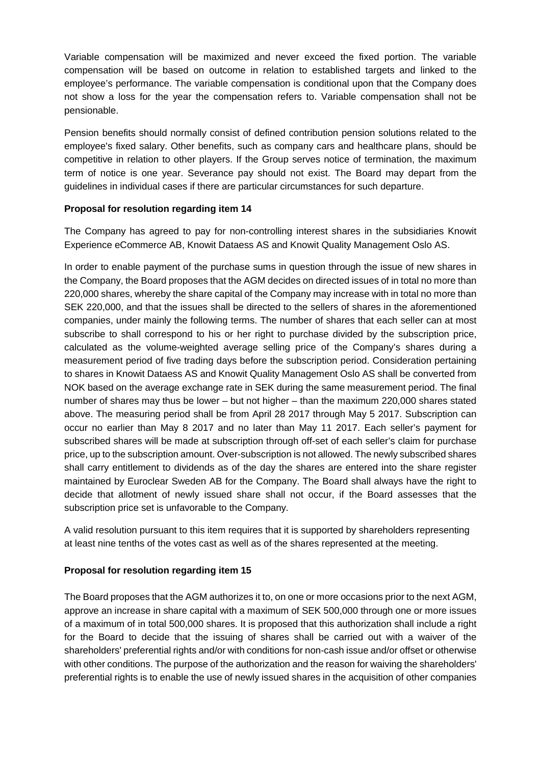Variable compensation will be maximized and never exceed the fixed portion. The variable compensation will be based on outcome in relation to established targets and linked to the employee's performance. The variable compensation is conditional upon that the Company does not show a loss for the year the compensation refers to. Variable compensation shall not be pensionable.

Pension benefits should normally consist of defined contribution pension solutions related to the employee's fixed salary. Other benefits, such as company cars and healthcare plans, should be competitive in relation to other players. If the Group serves notice of termination, the maximum term of notice is one year. Severance pay should not exist. The Board may depart from the guidelines in individual cases if there are particular circumstances for such departure.

# **Proposal for resolution regarding item 14**

The Company has agreed to pay for non-controlling interest shares in the subsidiaries Knowit Experience eCommerce AB, Knowit Dataess AS and Knowit Quality Management Oslo AS.

In order to enable payment of the purchase sums in question through the issue of new shares in the Company, the Board proposes that the AGM decides on directed issues of in total no more than 220,000 shares, whereby the share capital of the Company may increase with in total no more than SEK 220,000, and that the issues shall be directed to the sellers of shares in the aforementioned companies, under mainly the following terms. The number of shares that each seller can at most subscribe to shall correspond to his or her right to purchase divided by the subscription price, calculated as the volume-weighted average selling price of the Company's shares during a measurement period of five trading days before the subscription period. Consideration pertaining to shares in Knowit Dataess AS and Knowit Quality Management Oslo AS shall be converted from NOK based on the average exchange rate in SEK during the same measurement period. The final number of shares may thus be lower – but not higher – than the maximum 220,000 shares stated above. The measuring period shall be from April 28 2017 through May 5 2017. Subscription can occur no earlier than May 8 2017 and no later than May 11 2017. Each seller's payment for subscribed shares will be made at subscription through off-set of each seller's claim for purchase price, up to the subscription amount. Over-subscription is not allowed. The newly subscribed shares shall carry entitlement to dividends as of the day the shares are entered into the share register maintained by Euroclear Sweden AB for the Company. The Board shall always have the right to decide that allotment of newly issued share shall not occur, if the Board assesses that the subscription price set is unfavorable to the Company.

A valid resolution pursuant to this item requires that it is supported by shareholders representing at least nine tenths of the votes cast as well as of the shares represented at the meeting.

# **Proposal for resolution regarding item 15**

The Board proposes that the AGM authorizes it to, on one or more occasions prior to the next AGM, approve an increase in share capital with a maximum of SEK 500,000 through one or more issues of a maximum of in total 500,000 shares. It is proposed that this authorization shall include a right for the Board to decide that the issuing of shares shall be carried out with a waiver of the shareholders' preferential rights and/or with conditions for non-cash issue and/or offset or otherwise with other conditions. The purpose of the authorization and the reason for waiving the shareholders' preferential rights is to enable the use of newly issued shares in the acquisition of other companies